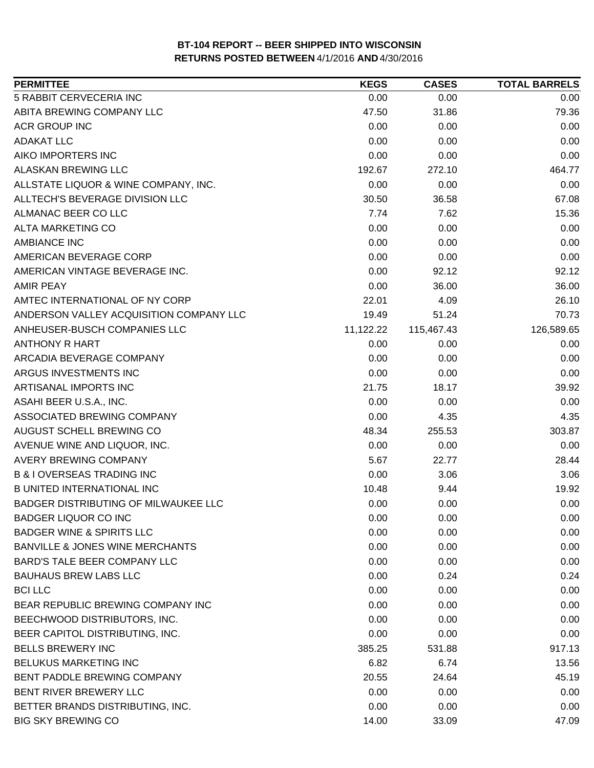| <b>PERMITTEE</b>                           | <b>KEGS</b> | <b>CASES</b> | <b>TOTAL BARRELS</b> |
|--------------------------------------------|-------------|--------------|----------------------|
| 5 RABBIT CERVECERIA INC                    | 0.00        | 0.00         | 0.00                 |
| ABITA BREWING COMPANY LLC                  | 47.50       | 31.86        | 79.36                |
| <b>ACR GROUP INC</b>                       | 0.00        | 0.00         | 0.00                 |
| <b>ADAKAT LLC</b>                          | 0.00        | 0.00         | 0.00                 |
| AIKO IMPORTERS INC                         | 0.00        | 0.00         | 0.00                 |
| ALASKAN BREWING LLC                        | 192.67      | 272.10       | 464.77               |
| ALLSTATE LIQUOR & WINE COMPANY, INC.       | 0.00        | 0.00         | 0.00                 |
| ALLTECH'S BEVERAGE DIVISION LLC            | 30.50       | 36.58        | 67.08                |
| ALMANAC BEER CO LLC                        | 7.74        | 7.62         | 15.36                |
| ALTA MARKETING CO                          | 0.00        | 0.00         | 0.00                 |
| <b>AMBIANCE INC</b>                        | 0.00        | 0.00         | 0.00                 |
| AMERICAN BEVERAGE CORP                     | 0.00        | 0.00         | 0.00                 |
| AMERICAN VINTAGE BEVERAGE INC.             | 0.00        | 92.12        | 92.12                |
| <b>AMIR PEAY</b>                           | 0.00        | 36.00        | 36.00                |
| AMTEC INTERNATIONAL OF NY CORP             | 22.01       | 4.09         | 26.10                |
| ANDERSON VALLEY ACQUISITION COMPANY LLC    | 19.49       | 51.24        | 70.73                |
| ANHEUSER-BUSCH COMPANIES LLC               | 11,122.22   | 115,467.43   | 126,589.65           |
| <b>ANTHONY R HART</b>                      | 0.00        | 0.00         | 0.00                 |
| ARCADIA BEVERAGE COMPANY                   | 0.00        | 0.00         | 0.00                 |
| ARGUS INVESTMENTS INC                      | 0.00        | 0.00         | 0.00                 |
| ARTISANAL IMPORTS INC                      | 21.75       | 18.17        | 39.92                |
| ASAHI BEER U.S.A., INC.                    | 0.00        | 0.00         | 0.00                 |
| ASSOCIATED BREWING COMPANY                 | 0.00        | 4.35         | 4.35                 |
| AUGUST SCHELL BREWING CO                   | 48.34       | 255.53       | 303.87               |
| AVENUE WINE AND LIQUOR, INC.               | 0.00        | 0.00         | 0.00                 |
| AVERY BREWING COMPANY                      | 5.67        | 22.77        | 28.44                |
| <b>B &amp; I OVERSEAS TRADING INC</b>      | 0.00        | 3.06         | 3.06                 |
| <b>B UNITED INTERNATIONAL INC</b>          | 10.48       | 9.44         | 19.92                |
| BADGER DISTRIBUTING OF MILWAUKEE LLC       | 0.00        | 0.00         | 0.00                 |
| <b>BADGER LIQUOR CO INC</b>                | 0.00        | 0.00         | 0.00                 |
| <b>BADGER WINE &amp; SPIRITS LLC</b>       | 0.00        | 0.00         | 0.00                 |
| <b>BANVILLE &amp; JONES WINE MERCHANTS</b> | 0.00        | 0.00         | 0.00                 |
| BARD'S TALE BEER COMPANY LLC               | 0.00        | 0.00         | 0.00                 |
| <b>BAUHAUS BREW LABS LLC</b>               | 0.00        | 0.24         | 0.24                 |
| <b>BCILLC</b>                              | 0.00        | 0.00         | 0.00                 |
| BEAR REPUBLIC BREWING COMPANY INC          | 0.00        | 0.00         | 0.00                 |
| BEECHWOOD DISTRIBUTORS, INC.               | 0.00        | 0.00         | 0.00                 |
| BEER CAPITOL DISTRIBUTING, INC.            | 0.00        | 0.00         | 0.00                 |
| <b>BELLS BREWERY INC</b>                   | 385.25      | 531.88       | 917.13               |
| BELUKUS MARKETING INC                      | 6.82        | 6.74         | 13.56                |
| BENT PADDLE BREWING COMPANY                | 20.55       | 24.64        | 45.19                |
| BENT RIVER BREWERY LLC                     | 0.00        | 0.00         | 0.00                 |
| BETTER BRANDS DISTRIBUTING, INC.           | 0.00        | 0.00         | 0.00                 |
| <b>BIG SKY BREWING CO</b>                  | 14.00       | 33.09        | 47.09                |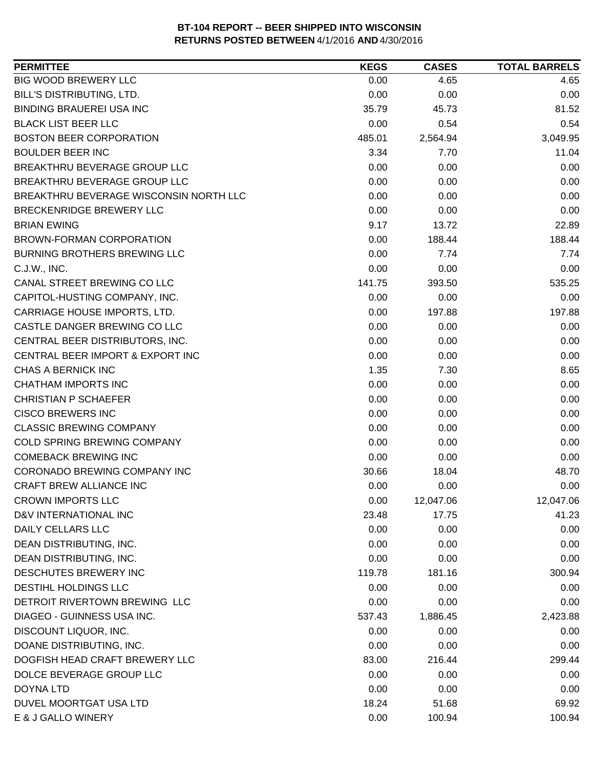| <b>PERMITTEE</b>                       | <b>KEGS</b> | <b>CASES</b> | <b>TOTAL BARRELS</b> |
|----------------------------------------|-------------|--------------|----------------------|
| <b>BIG WOOD BREWERY LLC</b>            | 0.00        | 4.65         | 4.65                 |
| BILL'S DISTRIBUTING, LTD.              | 0.00        | 0.00         | 0.00                 |
| <b>BINDING BRAUEREI USA INC</b>        | 35.79       | 45.73        | 81.52                |
| <b>BLACK LIST BEER LLC</b>             | 0.00        | 0.54         | 0.54                 |
| <b>BOSTON BEER CORPORATION</b>         | 485.01      | 2,564.94     | 3,049.95             |
| <b>BOULDER BEER INC</b>                | 3.34        | 7.70         | 11.04                |
| BREAKTHRU BEVERAGE GROUP LLC           | 0.00        | 0.00         | 0.00                 |
| BREAKTHRU BEVERAGE GROUP LLC           | 0.00        | 0.00         | 0.00                 |
| BREAKTHRU BEVERAGE WISCONSIN NORTH LLC | 0.00        | 0.00         | 0.00                 |
| BRECKENRIDGE BREWERY LLC               | 0.00        | 0.00         | 0.00                 |
| <b>BRIAN EWING</b>                     | 9.17        | 13.72        | 22.89                |
| <b>BROWN-FORMAN CORPORATION</b>        | 0.00        | 188.44       | 188.44               |
| BURNING BROTHERS BREWING LLC           | 0.00        | 7.74         | 7.74                 |
| C.J.W., INC.                           | 0.00        | 0.00         | 0.00                 |
| CANAL STREET BREWING CO LLC            | 141.75      | 393.50       | 535.25               |
| CAPITOL-HUSTING COMPANY, INC.          | 0.00        | 0.00         | 0.00                 |
| CARRIAGE HOUSE IMPORTS, LTD.           | 0.00        | 197.88       | 197.88               |
| CASTLE DANGER BREWING CO LLC           | 0.00        | 0.00         | 0.00                 |
| CENTRAL BEER DISTRIBUTORS, INC.        | 0.00        | 0.00         | 0.00                 |
| CENTRAL BEER IMPORT & EXPORT INC       | 0.00        | 0.00         | 0.00                 |
| CHAS A BERNICK INC                     | 1.35        | 7.30         | 8.65                 |
| <b>CHATHAM IMPORTS INC</b>             | 0.00        | 0.00         | 0.00                 |
| <b>CHRISTIAN P SCHAEFER</b>            | 0.00        | 0.00         | 0.00                 |
| <b>CISCO BREWERS INC</b>               | 0.00        | 0.00         | 0.00                 |
| <b>CLASSIC BREWING COMPANY</b>         | 0.00        | 0.00         | 0.00                 |
| COLD SPRING BREWING COMPANY            | 0.00        | 0.00         | 0.00                 |
| <b>COMEBACK BREWING INC</b>            | 0.00        | 0.00         | 0.00                 |
| CORONADO BREWING COMPANY INC           | 30.66       | 18.04        | 48.70                |
| <b>CRAFT BREW ALLIANCE INC</b>         | 0.00        | 0.00         | 0.00                 |
| <b>CROWN IMPORTS LLC</b>               | 0.00        | 12,047.06    | 12,047.06            |
| D&V INTERNATIONAL INC                  | 23.48       | 17.75        | 41.23                |
| <b>DAILY CELLARS LLC</b>               | 0.00        | 0.00         | 0.00                 |
| DEAN DISTRIBUTING, INC.                | 0.00        | 0.00         | 0.00                 |
| DEAN DISTRIBUTING, INC.                | 0.00        | 0.00         | 0.00                 |
| DESCHUTES BREWERY INC                  | 119.78      | 181.16       | 300.94               |
| <b>DESTIHL HOLDINGS LLC</b>            | 0.00        | 0.00         | 0.00                 |
| DETROIT RIVERTOWN BREWING LLC          | 0.00        | 0.00         | 0.00                 |
| DIAGEO - GUINNESS USA INC.             | 537.43      | 1,886.45     | 2,423.88             |
| DISCOUNT LIQUOR, INC.                  | 0.00        | 0.00         | 0.00                 |
| DOANE DISTRIBUTING, INC.               | 0.00        | 0.00         | 0.00                 |
| DOGFISH HEAD CRAFT BREWERY LLC         | 83.00       | 216.44       | 299.44               |
| DOLCE BEVERAGE GROUP LLC               | 0.00        | 0.00         | 0.00                 |
| <b>DOYNA LTD</b>                       | 0.00        | 0.00         | 0.00                 |
| DUVEL MOORTGAT USA LTD                 | 18.24       | 51.68        | 69.92                |
| E & J GALLO WINERY                     | 0.00        | 100.94       | 100.94               |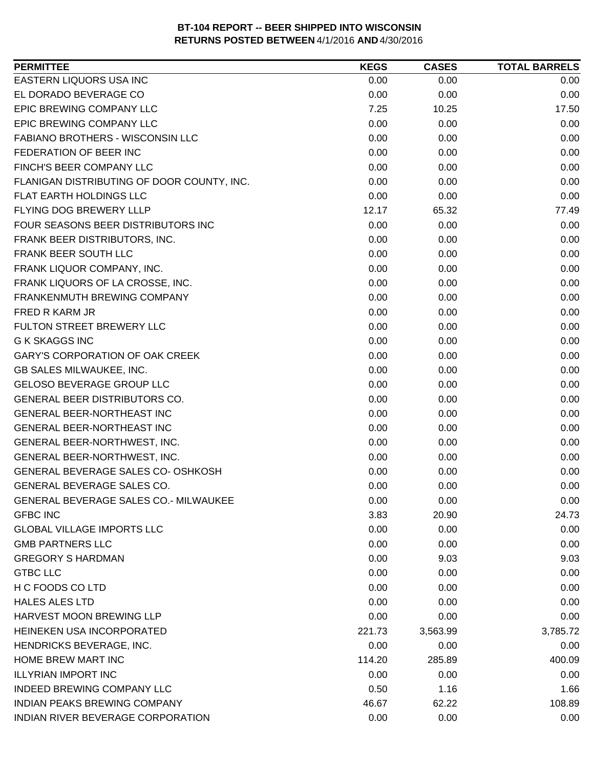| <b>PERMITTEE</b>                             | <b>KEGS</b> | <b>CASES</b> | <b>TOTAL BARRELS</b> |
|----------------------------------------------|-------------|--------------|----------------------|
| EASTERN LIQUORS USA INC                      | 0.00        | 0.00         | 0.00                 |
| EL DORADO BEVERAGE CO                        | 0.00        | 0.00         | 0.00                 |
| EPIC BREWING COMPANY LLC                     | 7.25        | 10.25        | 17.50                |
| EPIC BREWING COMPANY LLC                     | 0.00        | 0.00         | 0.00                 |
| <b>FABIANO BROTHERS - WISCONSIN LLC</b>      | 0.00        | 0.00         | 0.00                 |
| FEDERATION OF BEER INC                       | 0.00        | 0.00         | 0.00                 |
| FINCH'S BEER COMPANY LLC                     | 0.00        | 0.00         | 0.00                 |
| FLANIGAN DISTRIBUTING OF DOOR COUNTY, INC.   | 0.00        | 0.00         | 0.00                 |
| FLAT EARTH HOLDINGS LLC                      | 0.00        | 0.00         | 0.00                 |
| FLYING DOG BREWERY LLLP                      | 12.17       | 65.32        | 77.49                |
| FOUR SEASONS BEER DISTRIBUTORS INC           | 0.00        | 0.00         | 0.00                 |
| FRANK BEER DISTRIBUTORS, INC.                | 0.00        | 0.00         | 0.00                 |
| FRANK BEER SOUTH LLC                         | 0.00        | 0.00         | 0.00                 |
| FRANK LIQUOR COMPANY, INC.                   | 0.00        | 0.00         | 0.00                 |
| FRANK LIQUORS OF LA CROSSE, INC.             | 0.00        | 0.00         | 0.00                 |
| FRANKENMUTH BREWING COMPANY                  | 0.00        | 0.00         | 0.00                 |
| FRED R KARM JR                               | 0.00        | 0.00         | 0.00                 |
| FULTON STREET BREWERY LLC                    | 0.00        | 0.00         | 0.00                 |
| <b>G K SKAGGS INC</b>                        | 0.00        | 0.00         | 0.00                 |
| <b>GARY'S CORPORATION OF OAK CREEK</b>       | 0.00        | 0.00         | 0.00                 |
| GB SALES MILWAUKEE, INC.                     | 0.00        | 0.00         | 0.00                 |
| <b>GELOSO BEVERAGE GROUP LLC</b>             | 0.00        | 0.00         | 0.00                 |
| GENERAL BEER DISTRIBUTORS CO.                | 0.00        | 0.00         | 0.00                 |
| <b>GENERAL BEER-NORTHEAST INC</b>            | 0.00        | 0.00         | 0.00                 |
| GENERAL BEER-NORTHEAST INC                   | 0.00        | 0.00         | 0.00                 |
| GENERAL BEER-NORTHWEST, INC.                 | 0.00        | 0.00         | 0.00                 |
| GENERAL BEER-NORTHWEST, INC.                 | 0.00        | 0.00         | 0.00                 |
| GENERAL BEVERAGE SALES CO- OSHKOSH           | 0.00        | 0.00         | 0.00                 |
| GENERAL BEVERAGE SALES CO.                   | 0.00        | 0.00         | 0.00                 |
| <b>GENERAL BEVERAGE SALES CO.- MILWAUKEE</b> | 0.00        | 0.00         | 0.00                 |
| <b>GFBC INC</b>                              | 3.83        | 20.90        | 24.73                |
| <b>GLOBAL VILLAGE IMPORTS LLC</b>            | 0.00        | 0.00         | 0.00                 |
| <b>GMB PARTNERS LLC</b>                      | 0.00        | 0.00         | 0.00                 |
| <b>GREGORY S HARDMAN</b>                     | 0.00        | 9.03         | 9.03                 |
| <b>GTBC LLC</b>                              | 0.00        | 0.00         | 0.00                 |
| H C FOODS CO LTD                             | 0.00        | 0.00         | 0.00                 |
| <b>HALES ALES LTD</b>                        | 0.00        | 0.00         | 0.00                 |
| <b>HARVEST MOON BREWING LLP</b>              | 0.00        | 0.00         | 0.00                 |
| HEINEKEN USA INCORPORATED                    | 221.73      | 3,563.99     | 3,785.72             |
| HENDRICKS BEVERAGE, INC.                     | 0.00        | 0.00         | 0.00                 |
| HOME BREW MART INC                           | 114.20      | 285.89       | 400.09               |
| <b>ILLYRIAN IMPORT INC</b>                   | 0.00        | 0.00         | 0.00                 |
| <b>INDEED BREWING COMPANY LLC</b>            | 0.50        | 1.16         | 1.66                 |
| <b>INDIAN PEAKS BREWING COMPANY</b>          | 46.67       | 62.22        | 108.89               |
| INDIAN RIVER BEVERAGE CORPORATION            | 0.00        | 0.00         | 0.00                 |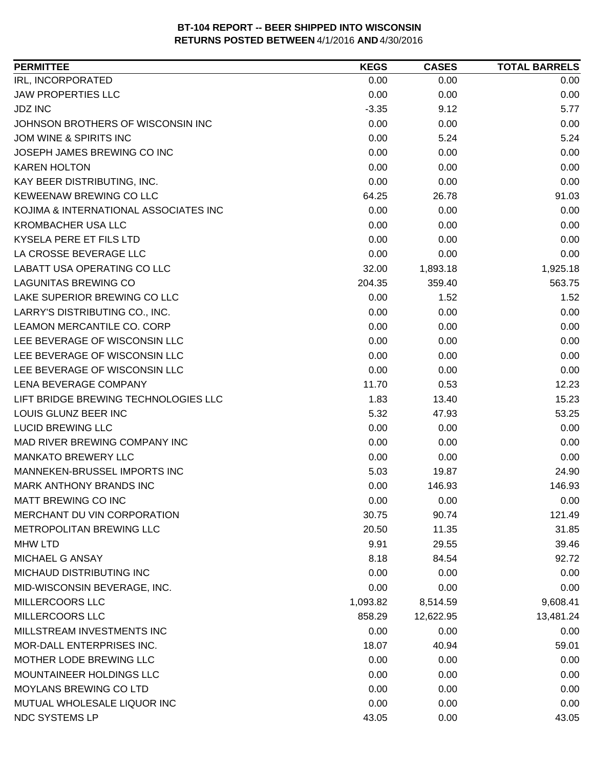| <b>PERMITTEE</b>                      | <b>KEGS</b> | <b>CASES</b> | <b>TOTAL BARRELS</b> |
|---------------------------------------|-------------|--------------|----------------------|
| IRL, INCORPORATED                     | 0.00        | 0.00         | 0.00                 |
| <b>JAW PROPERTIES LLC</b>             | 0.00        | 0.00         | 0.00                 |
| <b>JDZ INC</b>                        | $-3.35$     | 9.12         | 5.77                 |
| JOHNSON BROTHERS OF WISCONSIN INC     | 0.00        | 0.00         | 0.00                 |
| JOM WINE & SPIRITS INC                | 0.00        | 5.24         | 5.24                 |
| JOSEPH JAMES BREWING CO INC           | 0.00        | 0.00         | 0.00                 |
| <b>KAREN HOLTON</b>                   | 0.00        | 0.00         | 0.00                 |
| KAY BEER DISTRIBUTING, INC.           | 0.00        | 0.00         | 0.00                 |
| KEWEENAW BREWING CO LLC               | 64.25       | 26.78        | 91.03                |
| KOJIMA & INTERNATIONAL ASSOCIATES INC | 0.00        | 0.00         | 0.00                 |
| <b>KROMBACHER USA LLC</b>             | 0.00        | 0.00         | 0.00                 |
| KYSELA PERE ET FILS LTD               | 0.00        | 0.00         | 0.00                 |
| LA CROSSE BEVERAGE LLC                | 0.00        | 0.00         | 0.00                 |
| LABATT USA OPERATING CO LLC           | 32.00       | 1,893.18     | 1,925.18             |
| <b>LAGUNITAS BREWING CO</b>           | 204.35      | 359.40       | 563.75               |
| LAKE SUPERIOR BREWING CO LLC          | 0.00        | 1.52         | 1.52                 |
| LARRY'S DISTRIBUTING CO., INC.        | 0.00        | 0.00         | 0.00                 |
| LEAMON MERCANTILE CO. CORP            | 0.00        | 0.00         | 0.00                 |
| LEE BEVERAGE OF WISCONSIN LLC         | 0.00        | 0.00         | 0.00                 |
| LEE BEVERAGE OF WISCONSIN LLC         | 0.00        | 0.00         | 0.00                 |
| LEE BEVERAGE OF WISCONSIN LLC         | 0.00        | 0.00         | 0.00                 |
| LENA BEVERAGE COMPANY                 | 11.70       | 0.53         | 12.23                |
| LIFT BRIDGE BREWING TECHNOLOGIES LLC  | 1.83        | 13.40        | 15.23                |
| LOUIS GLUNZ BEER INC                  | 5.32        | 47.93        | 53.25                |
| <b>LUCID BREWING LLC</b>              | 0.00        | 0.00         | 0.00                 |
| MAD RIVER BREWING COMPANY INC         | 0.00        | 0.00         | 0.00                 |
| <b>MANKATO BREWERY LLC</b>            | 0.00        | 0.00         | 0.00                 |
| MANNEKEN-BRUSSEL IMPORTS INC          | 5.03        | 19.87        | 24.90                |
| <b>MARK ANTHONY BRANDS INC</b>        | 0.00        | 146.93       | 146.93               |
| <b>MATT BREWING CO INC</b>            | 0.00        | 0.00         | 0.00                 |
| MERCHANT DU VIN CORPORATION           | 30.75       | 90.74        | 121.49               |
| METROPOLITAN BREWING LLC              | 20.50       | 11.35        | 31.85                |
| <b>MHW LTD</b>                        | 9.91        | 29.55        | 39.46                |
| MICHAEL G ANSAY                       | 8.18        | 84.54        | 92.72                |
| MICHAUD DISTRIBUTING INC              | 0.00        | 0.00         | 0.00                 |
| MID-WISCONSIN BEVERAGE, INC.          | 0.00        | 0.00         | 0.00                 |
| MILLERCOORS LLC                       | 1,093.82    | 8,514.59     | 9,608.41             |
| <b>MILLERCOORS LLC</b>                | 858.29      | 12,622.95    | 13,481.24            |
| MILLSTREAM INVESTMENTS INC            | 0.00        | 0.00         | 0.00                 |
| MOR-DALL ENTERPRISES INC.             | 18.07       | 40.94        | 59.01                |
| MOTHER LODE BREWING LLC               | 0.00        | 0.00         | 0.00                 |
| MOUNTAINEER HOLDINGS LLC              | 0.00        | 0.00         | 0.00                 |
| <b>MOYLANS BREWING CO LTD</b>         | 0.00        | 0.00         | 0.00                 |
| MUTUAL WHOLESALE LIQUOR INC           | 0.00        | 0.00         | 0.00                 |
| NDC SYSTEMS LP                        | 43.05       | 0.00         | 43.05                |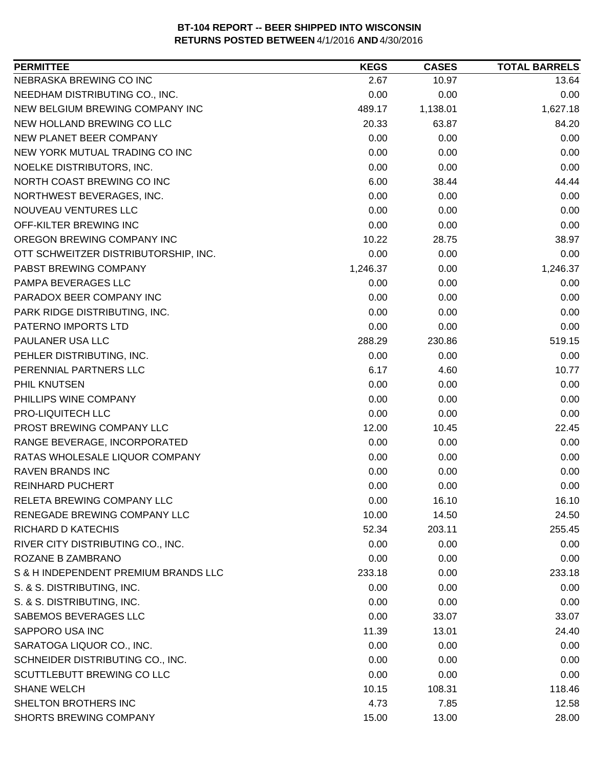| <b>PERMITTEE</b>                     | <b>KEGS</b> | <b>CASES</b> | <b>TOTAL BARRELS</b> |
|--------------------------------------|-------------|--------------|----------------------|
| NEBRASKA BREWING CO INC              | 2.67        | 10.97        | 13.64                |
| NEEDHAM DISTRIBUTING CO., INC.       | 0.00        | 0.00         | 0.00                 |
| NEW BELGIUM BREWING COMPANY INC      | 489.17      | 1,138.01     | 1,627.18             |
| NEW HOLLAND BREWING CO LLC           | 20.33       | 63.87        | 84.20                |
| NEW PLANET BEER COMPANY              | 0.00        | 0.00         | 0.00                 |
| NEW YORK MUTUAL TRADING CO INC       | 0.00        | 0.00         | 0.00                 |
| NOELKE DISTRIBUTORS, INC.            | 0.00        | 0.00         | 0.00                 |
| NORTH COAST BREWING CO INC           | 6.00        | 38.44        | 44.44                |
| NORTHWEST BEVERAGES, INC.            | 0.00        | 0.00         | 0.00                 |
| NOUVEAU VENTURES LLC                 | 0.00        | 0.00         | 0.00                 |
| OFF-KILTER BREWING INC               | 0.00        | 0.00         | 0.00                 |
| OREGON BREWING COMPANY INC           | 10.22       | 28.75        | 38.97                |
| OTT SCHWEITZER DISTRIBUTORSHIP, INC. | 0.00        | 0.00         | 0.00                 |
| PABST BREWING COMPANY                | 1,246.37    | 0.00         | 1,246.37             |
| PAMPA BEVERAGES LLC                  | 0.00        | 0.00         | 0.00                 |
| PARADOX BEER COMPANY INC             | 0.00        | 0.00         | 0.00                 |
| PARK RIDGE DISTRIBUTING, INC.        | 0.00        | 0.00         | 0.00                 |
| PATERNO IMPORTS LTD                  | 0.00        | 0.00         | 0.00                 |
| PAULANER USA LLC                     | 288.29      | 230.86       | 519.15               |
| PEHLER DISTRIBUTING, INC.            | 0.00        | 0.00         | 0.00                 |
| PERENNIAL PARTNERS LLC               | 6.17        | 4.60         | 10.77                |
| PHIL KNUTSEN                         | 0.00        | 0.00         | 0.00                 |
| PHILLIPS WINE COMPANY                | 0.00        | 0.00         | 0.00                 |
| PRO-LIQUITECH LLC                    | 0.00        | 0.00         | 0.00                 |
| PROST BREWING COMPANY LLC            | 12.00       | 10.45        | 22.45                |
| RANGE BEVERAGE, INCORPORATED         | 0.00        | 0.00         | 0.00                 |
| RATAS WHOLESALE LIQUOR COMPANY       | 0.00        | 0.00         | 0.00                 |
| <b>RAVEN BRANDS INC</b>              | 0.00        | 0.00         | 0.00                 |
| <b>REINHARD PUCHERT</b>              | 0.00        | 0.00         | 0.00                 |
| RELETA BREWING COMPANY LLC           | 0.00        | 16.10        | 16.10                |
| RENEGADE BREWING COMPANY LLC         | 10.00       | 14.50        | 24.50                |
| RICHARD D KATECHIS                   | 52.34       | 203.11       | 255.45               |
| RIVER CITY DISTRIBUTING CO., INC.    | 0.00        | 0.00         | 0.00                 |
| ROZANE B ZAMBRANO                    | 0.00        | 0.00         | 0.00                 |
| S & H INDEPENDENT PREMIUM BRANDS LLC | 233.18      | 0.00         | 233.18               |
| S. & S. DISTRIBUTING, INC.           | 0.00        | 0.00         | 0.00                 |
| S. & S. DISTRIBUTING, INC.           | 0.00        | 0.00         | 0.00                 |
| SABEMOS BEVERAGES LLC                | 0.00        | 33.07        | 33.07                |
| SAPPORO USA INC                      | 11.39       | 13.01        | 24.40                |
| SARATOGA LIQUOR CO., INC.            | 0.00        | 0.00         | 0.00                 |
| SCHNEIDER DISTRIBUTING CO., INC.     | 0.00        | 0.00         | 0.00                 |
| SCUTTLEBUTT BREWING CO LLC           | 0.00        | 0.00         | 0.00                 |
| <b>SHANE WELCH</b>                   | 10.15       | 108.31       | 118.46               |
| SHELTON BROTHERS INC                 | 4.73        | 7.85         | 12.58                |
| SHORTS BREWING COMPANY               | 15.00       | 13.00        | 28.00                |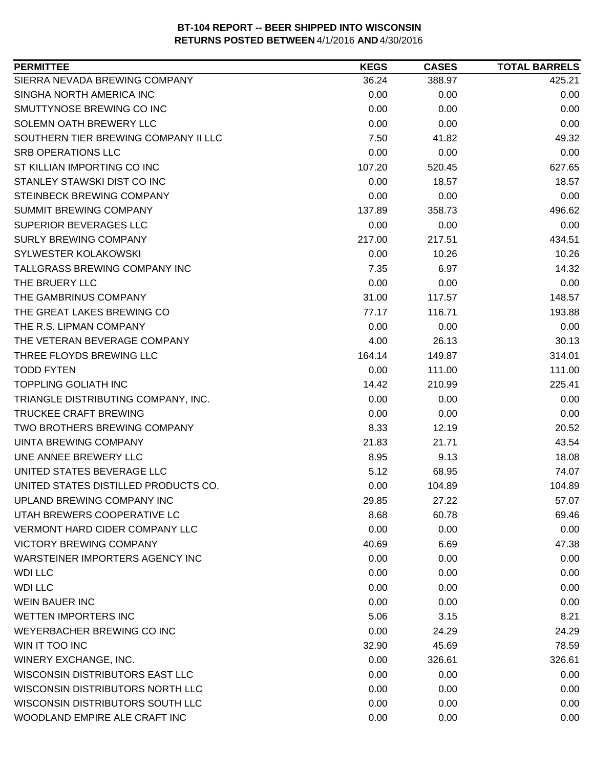| <b>PERMITTEE</b>                      | <b>KEGS</b> | <b>CASES</b> | <b>TOTAL BARRELS</b> |
|---------------------------------------|-------------|--------------|----------------------|
| SIERRA NEVADA BREWING COMPANY         | 36.24       | 388.97       | 425.21               |
| SINGHA NORTH AMERICA INC              | 0.00        | 0.00         | 0.00                 |
| SMUTTYNOSE BREWING CO INC             | 0.00        | 0.00         | 0.00                 |
| SOLEMN OATH BREWERY LLC               | 0.00        | 0.00         | 0.00                 |
| SOUTHERN TIER BREWING COMPANY II LLC  | 7.50        | 41.82        | 49.32                |
| <b>SRB OPERATIONS LLC</b>             | 0.00        | 0.00         | 0.00                 |
| ST KILLIAN IMPORTING CO INC           | 107.20      | 520.45       | 627.65               |
| STANLEY STAWSKI DIST CO INC           | 0.00        | 18.57        | 18.57                |
| STEINBECK BREWING COMPANY             | 0.00        | 0.00         | 0.00                 |
| SUMMIT BREWING COMPANY                | 137.89      | 358.73       | 496.62               |
| SUPERIOR BEVERAGES LLC                | 0.00        | 0.00         | 0.00                 |
| <b>SURLY BREWING COMPANY</b>          | 217.00      | 217.51       | 434.51               |
| SYLWESTER KOLAKOWSKI                  | 0.00        | 10.26        | 10.26                |
| <b>TALLGRASS BREWING COMPANY INC</b>  | 7.35        | 6.97         | 14.32                |
| THE BRUERY LLC                        | 0.00        | 0.00         | 0.00                 |
| THE GAMBRINUS COMPANY                 | 31.00       | 117.57       | 148.57               |
| THE GREAT LAKES BREWING CO            | 77.17       | 116.71       | 193.88               |
| THE R.S. LIPMAN COMPANY               | 0.00        | 0.00         | 0.00                 |
| THE VETERAN BEVERAGE COMPANY          | 4.00        | 26.13        | 30.13                |
| THREE FLOYDS BREWING LLC              | 164.14      | 149.87       | 314.01               |
| <b>TODD FYTEN</b>                     | 0.00        | 111.00       | 111.00               |
| <b>TOPPLING GOLIATH INC</b>           | 14.42       | 210.99       | 225.41               |
| TRIANGLE DISTRIBUTING COMPANY, INC.   | 0.00        | 0.00         | 0.00                 |
| <b>TRUCKEE CRAFT BREWING</b>          | 0.00        | 0.00         | 0.00                 |
| TWO BROTHERS BREWING COMPANY          | 8.33        | 12.19        | 20.52                |
| <b>UINTA BREWING COMPANY</b>          | 21.83       | 21.71        | 43.54                |
| UNE ANNEE BREWERY LLC                 | 8.95        | 9.13         | 18.08                |
| UNITED STATES BEVERAGE LLC            | 5.12        | 68.95        | 74.07                |
| UNITED STATES DISTILLED PRODUCTS CO.  | 0.00        | 104.89       | 104.89               |
| UPLAND BREWING COMPANY INC            | 29.85       | 27.22        | 57.07                |
| UTAH BREWERS COOPERATIVE LC           | 8.68        | 60.78        | 69.46                |
| <b>VERMONT HARD CIDER COMPANY LLC</b> | 0.00        | 0.00         | 0.00                 |
| <b>VICTORY BREWING COMPANY</b>        | 40.69       | 6.69         | 47.38                |
| WARSTEINER IMPORTERS AGENCY INC       | 0.00        | 0.00         | 0.00                 |
| <b>WDI LLC</b>                        | 0.00        | 0.00         | 0.00                 |
| <b>WDI LLC</b>                        | 0.00        | 0.00         | 0.00                 |
| <b>WEIN BAUER INC</b>                 | 0.00        | 0.00         | 0.00                 |
| <b>WETTEN IMPORTERS INC</b>           | 5.06        | 3.15         | 8.21                 |
| WEYERBACHER BREWING CO INC            | 0.00        | 24.29        | 24.29                |
| WIN IT TOO INC                        | 32.90       | 45.69        | 78.59                |
| WINERY EXCHANGE, INC.                 | 0.00        | 326.61       | 326.61               |
| WISCONSIN DISTRIBUTORS EAST LLC       | 0.00        | 0.00         | 0.00                 |
| WISCONSIN DISTRIBUTORS NORTH LLC      | 0.00        | 0.00         | 0.00                 |
| WISCONSIN DISTRIBUTORS SOUTH LLC      | 0.00        | 0.00         | 0.00                 |
| WOODLAND EMPIRE ALE CRAFT INC         | 0.00        | 0.00         | 0.00                 |